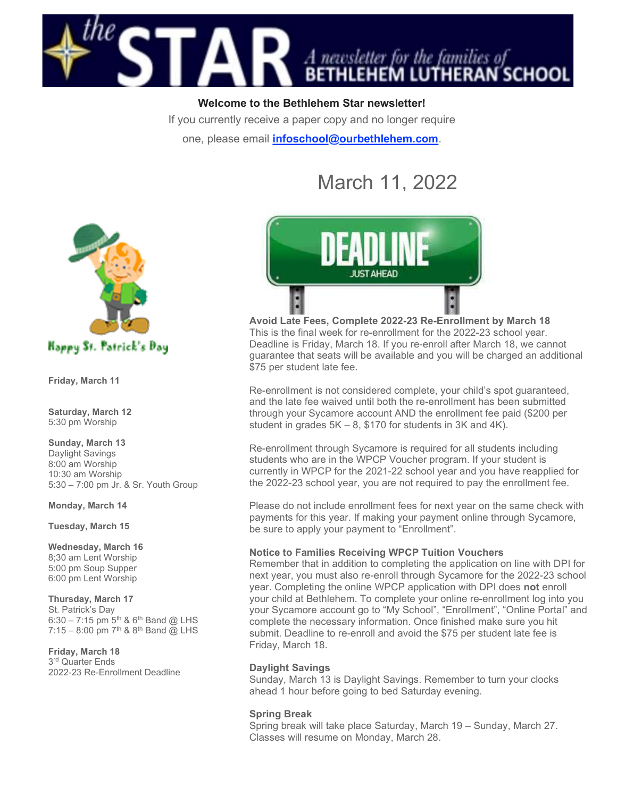

Welcome to the Bethlehem Star newsletter!

If you currently receive a paper copy and no longer require

one, please email *infoschool@ourbethlehem.com*.

# March 11, 2022



Friday, March 11

Saturday, March 12 5:30 pm Worship

Sunday, March 13 Daylight Savings 8:00 am Worship 10:30 am Worship 5:30 – 7:00 pm Jr. & Sr. Youth Group

Monday, March 14

Tuesday, March 15

#### Wednesday, March 16

8;30 am Lent Worship 5:00 pm Soup Supper 6:00 pm Lent Worship

# Thursday, March 17

St. Patrick's Day 6:30 – 7:15 pm  $5^{th}$  &  $6^{th}$  Band @ LHS 7:15 – 8:00 pm  $7^{th}$  &  $8^{th}$  Band @ LHS

# Friday, March 18

3 rd Quarter Ends 2022-23 Re-Enrollment Deadline



Avoid Late Fees, Complete 2022-23 Re-Enrollment by March 18 This is the final week for re-enrollment for the 2022-23 school year. Deadline is Friday, March 18. If you re-enroll after March 18, we cannot guarantee that seats will be available and you will be charged an additional \$75 per student late fee.

Re-enrollment is not considered complete, your child's spot guaranteed, and the late fee waived until both the re-enrollment has been submitted through your Sycamore account AND the enrollment fee paid (\$200 per student in grades 5K – 8, \$170 for students in 3K and 4K).

Re-enrollment through Sycamore is required for all students including students who are in the WPCP Voucher program. If your student is currently in WPCP for the 2021-22 school year and you have reapplied for the 2022-23 school year, you are not required to pay the enrollment fee.

Please do not include enrollment fees for next year on the same check with payments for this year. If making your payment online through Sycamore, be sure to apply your payment to "Enrollment".

## Notice to Families Receiving WPCP Tuition Vouchers

Remember that in addition to completing the application on line with DPI for next year, you must also re-enroll through Sycamore for the 2022-23 school year. Completing the online WPCP application with DPI does not enroll your child at Bethlehem. To complete your online re-enrollment log into you your Sycamore account go to "My School", "Enrollment", "Online Portal" and complete the necessary information. Once finished make sure you hit submit. Deadline to re-enroll and avoid the \$75 per student late fee is Friday, March 18.

## Daylight Savings

Sunday, March 13 is Daylight Savings. Remember to turn your clocks ahead 1 hour before going to bed Saturday evening.

## Spring Break

Spring break will take place Saturday, March 19 – Sunday, March 27. Classes will resume on Monday, March 28.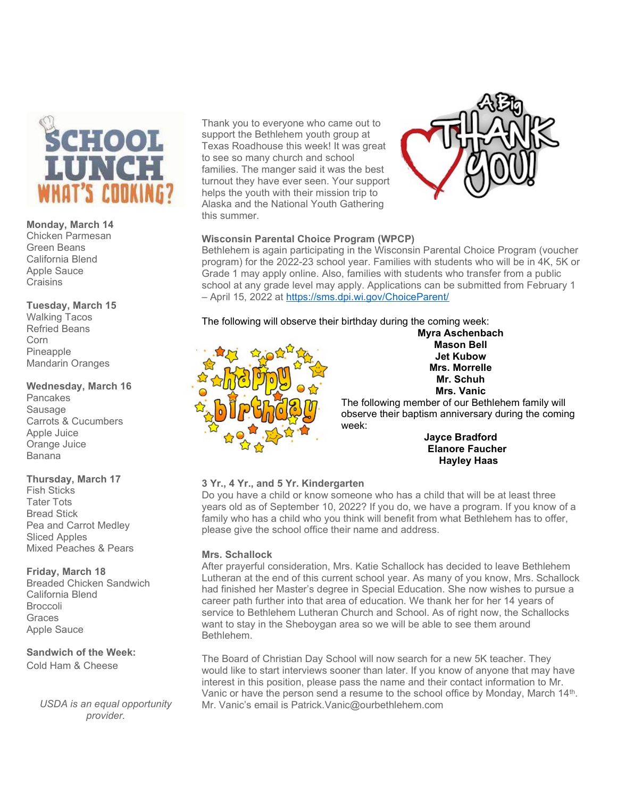

#### Monday, March 14

Chicken Parmesan Green Beans California Blend Apple Sauce **Craisins** 

#### Tuesday, March 15

Walking Tacos Refried Beans Corn Pineapple Mandarin Oranges

#### Wednesday, March 16

Pancakes **Sausage** Carrots & Cucumbers Apple Juice Orange Juice Banana

## Thursday, March 17

Fish Sticks Tater Tots Bread Stick Pea and Carrot Medley Sliced Apples Mixed Peaches & Pears

## Friday, March 18

Breaded Chicken Sandwich California Blend Broccoli **Graces** Apple Sauce

# Sandwich of the Week:

Cold Ham & Cheese

USDA is an equal opportunity provider.

Thank you to everyone who came out to support the Bethlehem youth group at Texas Roadhouse this week! It was great to see so many church and school families. The manger said it was the best turnout they have ever seen. Your support helps the youth with their mission trip to Alaska and the National Youth Gathering this summer.



# Wisconsin Parental Choice Program (WPCP)

Bethlehem is again participating in the Wisconsin Parental Choice Program (voucher program) for the 2022-23 school year. Families with students who will be in 4K, 5K or Grade 1 may apply online. Also, families with students who transfer from a public school at any grade level may apply. Applications can be submitted from February 1 – April 15, 2022 at https://sms.dpi.wi.gov/ChoiceParent/

The following will observe their birthday during the coming week:



Myra Aschenbach Mason Bell Jet Kubow Mrs. Morrelle Mr. Schuh Mrs. Vanic

The following member of our Bethlehem family will observe their baptism anniversary during the coming week:

Jayce Bradford Elanore Faucher Hayley Haas

# 3 Yr., 4 Yr., and 5 Yr. Kindergarten

Do you have a child or know someone who has a child that will be at least three years old as of September 10, 2022? If you do, we have a program. If you know of a family who has a child who you think will benefit from what Bethlehem has to offer, please give the school office their name and address.

## Mrs. Schallock

After prayerful consideration, Mrs. Katie Schallock has decided to leave Bethlehem Lutheran at the end of this current school year. As many of you know, Mrs. Schallock had finished her Master's degree in Special Education. She now wishes to pursue a career path further into that area of education. We thank her for her 14 years of service to Bethlehem Lutheran Church and School. As of right now, the Schallocks want to stay in the Sheboygan area so we will be able to see them around Bethlehem.

The Board of Christian Day School will now search for a new 5K teacher. They would like to start interviews sooner than later. If you know of anyone that may have interest in this position, please pass the name and their contact information to Mr. Vanic or have the person send a resume to the school office by Monday, March 14<sup>th</sup>. Mr. Vanic's email is Patrick.Vanic@ourbethlehem.com